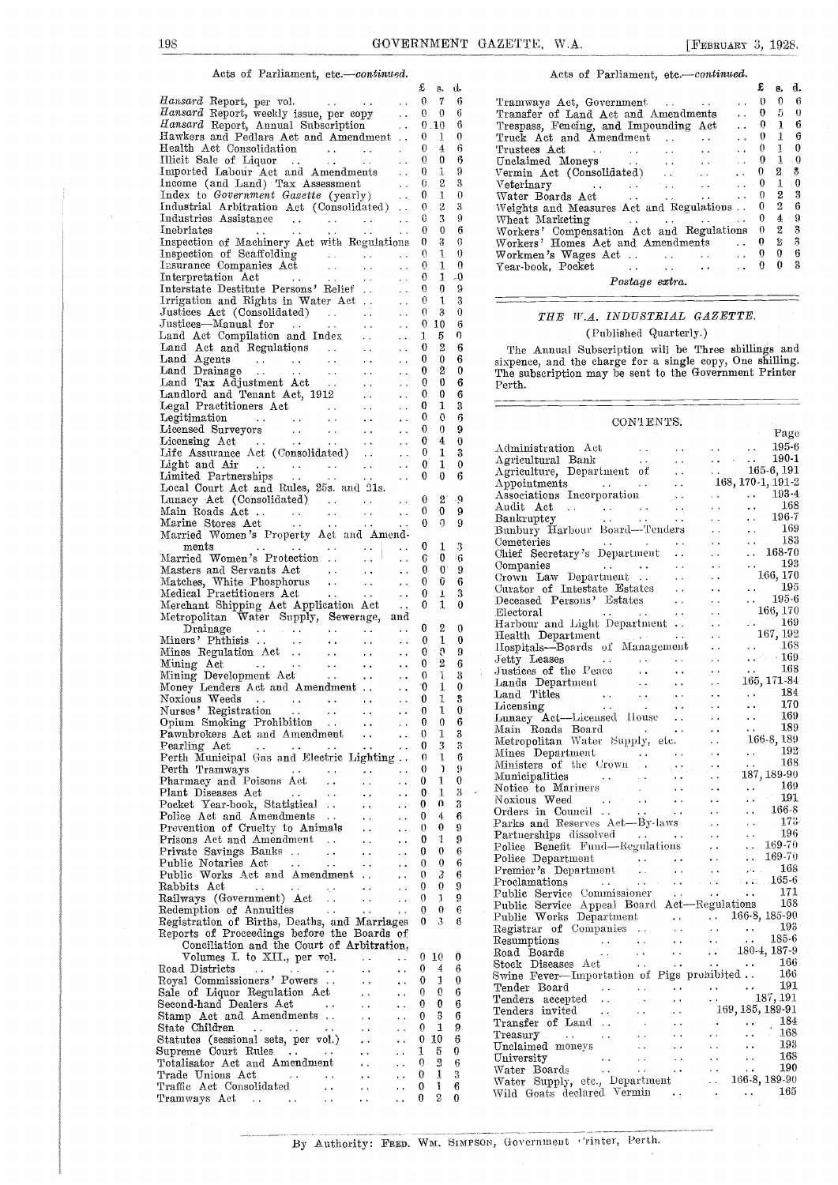$\mathbf{d}$ 

Acts of Parliament, etc.-continued.

|                                                                                                                                                                                                                             |                      | x,                                     | g,             | u. |                         |
|-----------------------------------------------------------------------------------------------------------------------------------------------------------------------------------------------------------------------------|----------------------|----------------------------------------|----------------|----|-------------------------|
| Hansard Report, per vol.                                                                                                                                                                                                    |                      | 0                                      | 7              | 6  | Tr                      |
| Hansard Report, per vol.<br>Hansard Report, weekly issue, per copy<br>Hansard Report, Annual Subscription                                                                                                                   |                      |                                        |                |    |                         |
|                                                                                                                                                                                                                             |                      |                                        | $0 \quad 0$    | 6  | Тr                      |
|                                                                                                                                                                                                                             |                      |                                        | 0.10           | 6  | Tr                      |
|                                                                                                                                                                                                                             |                      |                                        |                |    |                         |
| Hawkers and Pedlars Act and Amendment                                                                                                                                                                                       |                      | $\mathbf{0}$                           | 1              | 0  | Тr                      |
| Health Act Consolidation<br>Illicit Sale of Liquor<br>Imported Labour Act and Amendments                                                                                                                                    |                      | 0                                      | 4              | 6  | Τr                      |
|                                                                                                                                                                                                                             |                      | 0                                      | 0              | 6  |                         |
|                                                                                                                                                                                                                             |                      |                                        |                |    | Ur                      |
|                                                                                                                                                                                                                             |                      | 0<br>$\sim$ $\sim$                     | 1              | 9  | Vе                      |
|                                                                                                                                                                                                                             |                      | 0                                      | 2              | 3  |                         |
| Income (and Land) Tax Assessment<br>And the Covernment Gazette (yearly)                                                                                                                                                     |                      | $\sim$ $\sim$                          |                |    | Vε                      |
|                                                                                                                                                                                                                             |                      | 0                                      | 1              | 0  | $\overline{W}$          |
|                                                                                                                                                                                                                             |                      |                                        |                |    |                         |
| Industrial Arbitration Act (Consolidated)                                                                                                                                                                                   |                      | 0                                      | 2              | 3  | W,                      |
|                                                                                                                                                                                                                             |                      | 0                                      | 3              | 9  | W                       |
|                                                                                                                                                                                                                             |                      |                                        |                |    |                         |
|                                                                                                                                                                                                                             |                      | 0                                      | $\bf{0}$       | 6  | $\rm W$                 |
| Inspection of Machinery Act with Regulations                                                                                                                                                                                |                      | 0                                      | 3              | 0  | W١                      |
| Inspection of Scaffolding<br>Inspection of Scaffolding<br>Insurance Companies Act<br>Interpretation Act<br>Interstate Destitute Persons' Relief<br>Irrigation and Rights in Water Act<br>Irrigation and Rights in Water Act |                      |                                        |                |    |                         |
|                                                                                                                                                                                                                             |                      | 0                                      | 1              | 0  | W۱                      |
|                                                                                                                                                                                                                             |                      | $\theta$                               | $\mathbf{1}$   | 0  |                         |
|                                                                                                                                                                                                                             |                      |                                        |                |    | Υe                      |
|                                                                                                                                                                                                                             |                      | 0                                      | 1              | -0 |                         |
|                                                                                                                                                                                                                             |                      | 0                                      | $\overline{0}$ | 9  |                         |
|                                                                                                                                                                                                                             |                      |                                        |                |    |                         |
|                                                                                                                                                                                                                             |                      | $\theta$                               | $\mathbf{1}$   | 3  |                         |
|                                                                                                                                                                                                                             |                      | 0                                      | 3              | 0  |                         |
|                                                                                                                                                                                                                             |                      |                                        |                |    |                         |
|                                                                                                                                                                                                                             |                      |                                        | 010            | 6  |                         |
|                                                                                                                                                                                                                             |                      | 1                                      | 5              | ŋ  |                         |
|                                                                                                                                                                                                                             |                      |                                        |                |    |                         |
|                                                                                                                                                                                                                             |                      | $\bf{0}$                               | 2              | 6  |                         |
|                                                                                                                                                                                                                             |                      |                                        |                |    |                         |
|                                                                                                                                                                                                                             |                      | 0                                      | $\bf{0}$       | 6  | six                     |
|                                                                                                                                                                                                                             |                      | 0                                      | 2              | 0  | Th                      |
|                                                                                                                                                                                                                             |                      |                                        |                |    |                         |
|                                                                                                                                                                                                                             |                      | 0                                      | $\theta$       | 6  | Pe                      |
|                                                                                                                                                                                                                             |                      | 0                                      | 0              | 6  |                         |
|                                                                                                                                                                                                                             |                      |                                        |                |    |                         |
|                                                                                                                                                                                                                             |                      | 0<br>$\sim$ $\sim$                     | 1              | 3  |                         |
|                                                                                                                                                                                                                             | $\sim$ 10 $\pm$      | 0                                      | 0              | 6  |                         |
|                                                                                                                                                                                                                             |                      |                                        |                |    |                         |
|                                                                                                                                                                                                                             |                      | 0<br>$\sim$ $\sim$                     | 0              | 9  |                         |
|                                                                                                                                                                                                                             |                      | 0                                      | 4              | 0  |                         |
|                                                                                                                                                                                                                             |                      | $\sim$ $\sim$                          |                |    | Аć                      |
|                                                                                                                                                                                                                             |                      | $\theta$<br>$\ddot{\phantom{a}}$ .     | 1              | 3  |                         |
|                                                                                                                                                                                                                             |                      |                                        |                |    | Αş                      |
|                                                                                                                                                                                                                             |                      | 0<br>$\sim$ $\sim$                     | 1              | 0  |                         |
|                                                                                                                                                                                                                             |                      | $\bf{0}$<br>$\ddot{\phantom{a}}$ .     | $\bf{0}$       | 6  | Αg                      |
|                                                                                                                                                                                                                             |                      |                                        |                |    | ΑŢ                      |
| Local Court Act and Rules, 25s. and 21s.                                                                                                                                                                                    |                      |                                        |                |    |                         |
|                                                                                                                                                                                                                             |                      | 0                                      | $2^{\circ}$    | ୍ଦ | As                      |
|                                                                                                                                                                                                                             |                      |                                        |                |    | Αu                      |
|                                                                                                                                                                                                                             |                      | 0                                      | 0              | 9  |                         |
| Lunacy Act (Consolidated)<br>Main Roads Act<br>Marine Stores Act<br>Act                                                                                                                                                     |                      | $\bf{0}$                               | ŋ              | 9  | Ba                      |
|                                                                                                                                                                                                                             |                      |                                        |                |    | Βu                      |
| Married Women's Property Act and Amend-                                                                                                                                                                                     |                      |                                        |                |    |                         |
| $_{\rm{ments}}$                                                                                                                                                                                                             |                      | 0                                      | 1              | З  | Ce:                     |
| ments       <br>Married Women's Protection                                                                                                                                                                                  |                      | $\ddot{\phantom{1}}$ .                 |                |    | Ch                      |
|                                                                                                                                                                                                                             |                      | G<br>$\ddot{\phantom{a}}$              | 0              | 16 |                         |
|                                                                                                                                                                                                                             |                      | 0                                      | $\mathbf{0}$   | 9  | Co                      |
|                                                                                                                                                                                                                             |                      |                                        |                |    | $C_{\mathcal{X}}$       |
|                                                                                                                                                                                                                             |                      | 0                                      | Û              | 6  |                         |
|                                                                                                                                                                                                                             |                      |                                        |                |    | Сu                      |
|                                                                                                                                                                                                                             |                      | 0                                      | T              | 3  |                         |
|                                                                                                                                                                                                                             |                      | 0                                      | 1              | 0  | De                      |
|                                                                                                                                                                                                                             |                      |                                        |                |    |                         |
|                                                                                                                                                                                                                             |                      |                                        |                |    |                         |
| Metropolitan Water Supply, Sewerage, and                                                                                                                                                                                    |                      |                                        |                |    | Eŀ                      |
|                                                                                                                                                                                                                             |                      |                                        |                |    | Нa                      |
|                                                                                                                                                                                                                             |                      | 0                                      | 2              | 0  |                         |
|                                                                                                                                                                                                                             |                      | 0                                      | 1              | -0 | Ηę                      |
|                                                                                                                                                                                                                             |                      |                                        |                |    | Пç                      |
|                                                                                                                                                                                                                             |                      | 0                                      | - 9            | 9  |                         |
|                                                                                                                                                                                                                             |                      | 0                                      | 2              | 6  | Jet                     |
|                                                                                                                                                                                                                             |                      |                                        |                |    | Ju                      |
|                                                                                                                                                                                                                             |                      | 0                                      | $\mathbb{I}$   | 3  |                         |
|                                                                                                                                                                                                                             |                      |                                        | $0 \quad 1$    | 0  | La                      |
|                                                                                                                                                                                                                             |                      |                                        |                |    | Lа                      |
|                                                                                                                                                                                                                             |                      | $\bf{0}$                               | 1              | 3  |                         |
|                                                                                                                                                                                                                             |                      | $\overline{0}$<br>$\ddot{\phantom{0}}$ | 1              | 0  | Li                      |
| Noxious Weeds<br>Nurses' Registration<br>Nurses' Registration                                                                                                                                                               |                      |                                        |                |    | Lu                      |
| Opium Smoking Prohibition                                                                                                                                                                                                   | ٠.                   | $\mathbf 0$<br>$\ddotsc$               | $\bf{0}$       | 6  |                         |
|                                                                                                                                                                                                                             |                      | 0<br>. .                               | 1              | 3  | Мε                      |
| Pawnbrokers Act and Amendment                                                                                                                                                                                               | $\sim 10^{-11}$      |                                        |                |    | Μę                      |
| Pearling Act<br>$\sim$ $\sim$                                                                                                                                                                                               |                      | 0                                      | 3              | 3  |                         |
|                                                                                                                                                                                                                             |                      | 0                                      | 1              | 6  | Mi                      |
| Perth Municipal Gas and Electric Lighting                                                                                                                                                                                   |                      |                                        |                |    | Mi                      |
| Perth Tramways                                                                                                                                                                                                              |                      | 0                                      | V              | 9  |                         |
|                                                                                                                                                                                                                             |                      | 0                                      | 1              | 0  | Mι                      |
| Pharmacy and Poisons Act<br>$\ddot{\phantom{1}}$                                                                                                                                                                            | . .                  | i.                                     |                |    | No                      |
| Plant Diseases Act<br>$\cdots$<br>$\ddot{\phantom{0}}$                                                                                                                                                                      |                      | 0                                      | 1              | 3  |                         |
|                                                                                                                                                                                                                             | ò,                   | 0<br>$\ddot{\phantom{a}}$              | o              | 3  | Νo                      |
| Pocket Year-book, Statistical                                                                                                                                                                                               |                      |                                        |                |    | Or                      |
| Police Act and Amendments<br>$\sim$ $\sim$                                                                                                                                                                                  | $\ddot{\phantom{0}}$ | 0<br>. .                               | 4              | 6  |                         |
|                                                                                                                                                                                                                             |                      |                                        | 0              | 9  | $_{\rm Pa}$             |
| Prevention of Cruelty to Animals                                                                                                                                                                                            | . .                  | 0                                      |                |    |                         |
| Prisons Act and Amendment<br>$\sim$ $\sim$ $\sim$                                                                                                                                                                           | . .                  | 0<br>. .                               | 1              | 9  | $_{\rm Pa}$             |
|                                                                                                                                                                                                                             |                      | 0                                      | 0              | 6  | $P_0$                   |
| Private Savings Banks<br>$\ddotsc$                                                                                                                                                                                          | . .                  |                                        |                |    | P <sub>0</sub>          |
| Public Notaries Act<br>$\ddot{\phantom{a}}$ .<br>$\epsilon$ .                                                                                                                                                               | . .                  | 0                                      | 0              | 6  |                         |
|                                                                                                                                                                                                                             |                      |                                        |                |    | Pr                      |
| Public Works Act and Amendment                                                                                                                                                                                              | $\ddot{\phantom{1}}$ | 0<br>$\ddot{\phantom{0}}$              | 2              | 6  |                         |
| Rabbits Act<br>$\sim$ $\sim$<br>$\tau_c$ :                                                                                                                                                                                  | $\ddot{\phantom{0}}$ | 0                                      | 0              | 9  | Pr                      |
|                                                                                                                                                                                                                             |                      | 0                                      | J.             | 9  | Рu                      |
| Railways (Government) Act                                                                                                                                                                                                   | $\ddot{\phantom{1}}$ | μ.                                     |                |    |                         |
| Redemption of Annuities<br><b>Contractor</b>                                                                                                                                                                                | $\rightarrow$        | 0<br>$\ddot{\phantom{0}}$              | $0 -$          | Ģ, | Ρu                      |
|                                                                                                                                                                                                                             |                      | 0                                      | 3              | 6  | Pu                      |
| Registration of Births, Deaths, and Marriages                                                                                                                                                                               |                      |                                        |                |    |                         |
| Reports of Proceedings before the Boards of                                                                                                                                                                                 |                      |                                        |                |    | Re,                     |
|                                                                                                                                                                                                                             |                      |                                        |                |    | Rei                     |
| Conciliation and the Court of Arbitration,                                                                                                                                                                                  |                      |                                        |                |    |                         |
| Volumes I. to XII., per vol.                                                                                                                                                                                                | $\ddot{\phantom{0}}$ | 0<br>$\ddot{\phantom{0}}$              | 10             | 0  | Ro:                     |
|                                                                                                                                                                                                                             |                      |                                        | 4              |    | Sto                     |
| Road Districts<br>$\ddot{\phantom{1}}$<br>$\ddot{\phantom{1}}$                                                                                                                                                              |                      | 0<br>. .                               |                | 6  |                         |
| Royal Commissioners' Powers                                                                                                                                                                                                 |                      | 0                                      | 1              | 0  | $_{\rm Sw}$             |
|                                                                                                                                                                                                                             |                      |                                        |                |    |                         |
| Sale of Liquor Regulation Act                                                                                                                                                                                               |                      | 0<br>$\ddot{\phantom{a}}$              | 0              | 6  |                         |
| Second-hand Dealers Act<br>$\sim$ $\sim$                                                                                                                                                                                    |                      | 0<br>$\ddot{\phantom{0}}$              | 0              | 6  | Tei                     |
|                                                                                                                                                                                                                             |                      |                                        |                |    | Ter                     |
| Stamp Act and Amendments                                                                                                                                                                                                    |                      | 0                                      | 3              | 6  |                         |
|                                                                                                                                                                                                                             |                      | 0<br>. .                               | 1              | 9  | $_{\rm Tr}$             |
| State Children                                                                                                                                                                                                              |                      |                                        |                |    | Tr                      |
| Statutes (sessional sets, per vol.)                                                                                                                                                                                         |                      | 0                                      | 10             | 6  |                         |
| $\cdots$                                                                                                                                                                                                                    |                      | 1<br>$\ddot{\phantom{0}}$              | 5              | 0  | Un                      |
| Supreme Court Rules                                                                                                                                                                                                         |                      |                                        |                |    | $_{\rm Un}$             |
| Totalisator Act and Amendment                                                                                                                                                                                               |                      | 0                                      | 2              | 6  |                         |
|                                                                                                                                                                                                                             |                      | 0                                      | 1              | 3  | Wε                      |
| Trade Unions Act<br>$\ddotsc$<br><b>Contractor</b>                                                                                                                                                                          |                      |                                        |                |    | $\mathrm{W}\varepsilon$ |
| Traffic Act Consolidated<br>$\ddot{\phantom{a}}$                                                                                                                                                                            |                      | 0                                      | 1              | 6  | Ter                     |
| Tramways Act<br>$\sim$ $\alpha$<br>$\sim$ 100 $\pm$ 100                                                                                                                                                                     |                      | 0                                      | 2              | 0  | Wï                      |
|                                                                                                                                                                                                                             |                      |                                        |                |    |                         |

### Acts of Parliament, etc.-continued.

|                                                                                                                                                   | £                  | 8. | d.             |
|---------------------------------------------------------------------------------------------------------------------------------------------------|--------------------|----|----------------|
| Tramways Act, Government<br>$\ddot{\phantom{a}}$                                                                                                  | $\mathbf{0}$       |    | 0 <sub>6</sub> |
| Transfer of Land Act and Amendments                                                                                                               | $\ldots$ 0 5 0     |    |                |
| Trespass, Fencing, and Impounding Act                                                                                                             | $\therefore$ 0 1 6 |    |                |
| Truck Act and Amendment                                                                                                                           | $\therefore$ 0 1 6 |    |                |
| Trustees Act 0 $1 \quad 0$                                                                                                                        |                    |    |                |
| Unclaimed Moneys<br>Vermin Act (Consolidated)<br>Veterinary<br>Veterinary<br>$\begin{array}{ccc} 0 & 1 & 0 \\ 2 & 3 & 3 \\ 0 & 1 & 0 \end{array}$ |                    |    |                |
|                                                                                                                                                   |                    |    |                |
|                                                                                                                                                   |                    |    |                |
|                                                                                                                                                   |                    |    |                |
| Weights and Measures Act and Regulations . 0 2 6                                                                                                  |                    |    |                |
| Wheat Marketing $\cdots$ $\cdots$ $\cdots$ $\cdots$                                                                                               |                    |    | $4 - 9$        |
| Workers' Compensation Act and Regulations 0 2 3 Workers' Homes Act and Amendments  0 2 3                                                          |                    |    |                |
|                                                                                                                                                   |                    |    |                |
| Workmen's Wages Act 0 0 6                                                                                                                         |                    |    |                |
|                                                                                                                                                   | 0                  | 0  | Я              |
| Postage extra.                                                                                                                                    |                    |    |                |

#### THE W.A. INDUSTRIAL GAZETTE. (Published Quarterly.)

0 <sup>2</sup> 6 The Annual Subscription will be Three shillings and  $\begin{array}{cc} 0 & 0 & 6 \\ 2 & 0 & \end{array}$  sixpence, and the charge for a single copy, One shilling.<br>  $\begin{array}{cc} 2 & 0 \\ 2 & 0 & \end{array}$  The subscription may be sent to the Government Printer Perth.

| 0              | 0                | 6                | CONTENTS. |
|----------------|------------------|------------------|-----------|
| 0              | 0                | 9                | Page      |
| 0              | 4                | $\bf{0}$         |           |
| 0              | 1                | 3                |           |
| 0              | 1                | 0                |           |
|                |                  |                  |           |
| 0              | 0                | 6                |           |
|                |                  |                  |           |
| 0              | 2                | $\cdot$ 9        |           |
| 0              | 0                | 9                |           |
| 0              | ŋ                | 9                |           |
|                |                  |                  |           |
|                |                  |                  |           |
| 0              | 1                | 3                |           |
| G              | 0                | 16               |           |
| 0              | $\mathbf{0}$     | 9                |           |
| 0              | Û                | $\boldsymbol{6}$ |           |
| 0              | T                | 3                |           |
| 0              | 1                | $\theta$         |           |
|                |                  |                  |           |
|                |                  |                  |           |
| 0              | 2                | 0                |           |
| 0              | 1                | 0                |           |
| 0              | O                | 9                |           |
| 0              | 2                | 6                |           |
| 0              | ı                | 3                |           |
| 0              | 1                | 0                |           |
|                | 1                | 3                |           |
| 0              |                  |                  |           |
| 0              | $\mathbf{I}$     | $\bf{0}$         |           |
| 0              | 0                | 6                |           |
| 0              | 1                | 3                |           |
| 0              | 3                | 3                |           |
| $\theta$       | 1                | 6                |           |
| 0              | $\mathcal{L}$    | 9                |           |
|                |                  |                  |           |
| 0              | 1                | 0                |           |
| 0              | 1                | 3                |           |
| 0              | 0                | 3                |           |
| 0              | 4                | 6                |           |
| 0              | 0                | 9                |           |
| 0              | 1                | 9                |           |
| 0              | 0                | 6                |           |
|                |                  |                  |           |
| 0              | $\theta$         | 6                |           |
| 0              | $\overline{a}$   | 6                |           |
| 0              | $\boldsymbol{0}$ | 9                |           |
| 0              | 1                | 9                |           |
| 0              | $0^{\circ}$      | 6                |           |
| 0              | 3                | 6                |           |
|                |                  |                  |           |
|                |                  |                  |           |
|                |                  |                  |           |
| 0              | 10               | 0                |           |
| 0              | 4                | 6                |           |
| 0              | 1                | 0                |           |
| 0              | 0                | 6                |           |
| 0              | 0                | 6                |           |
|                |                  |                  |           |
| 0              | $\mathbf{3}$     | 6                |           |
| 0              | 1                | 9                |           |
| 0              | 10               | $6\phantom{.0}$  |           |
| L              | 5                | 0                |           |
| $\mathfrak{h}$ | $\overline{3}$   | $\sqrt{6}$       |           |
| $\mathfrak{z}$ | 1                | 3                |           |
|                |                  |                  |           |
| $\mathfrak{h}$ | $\mathbf{I}$     | 6                |           |
|                | $2 -$            | $\Omega$         |           |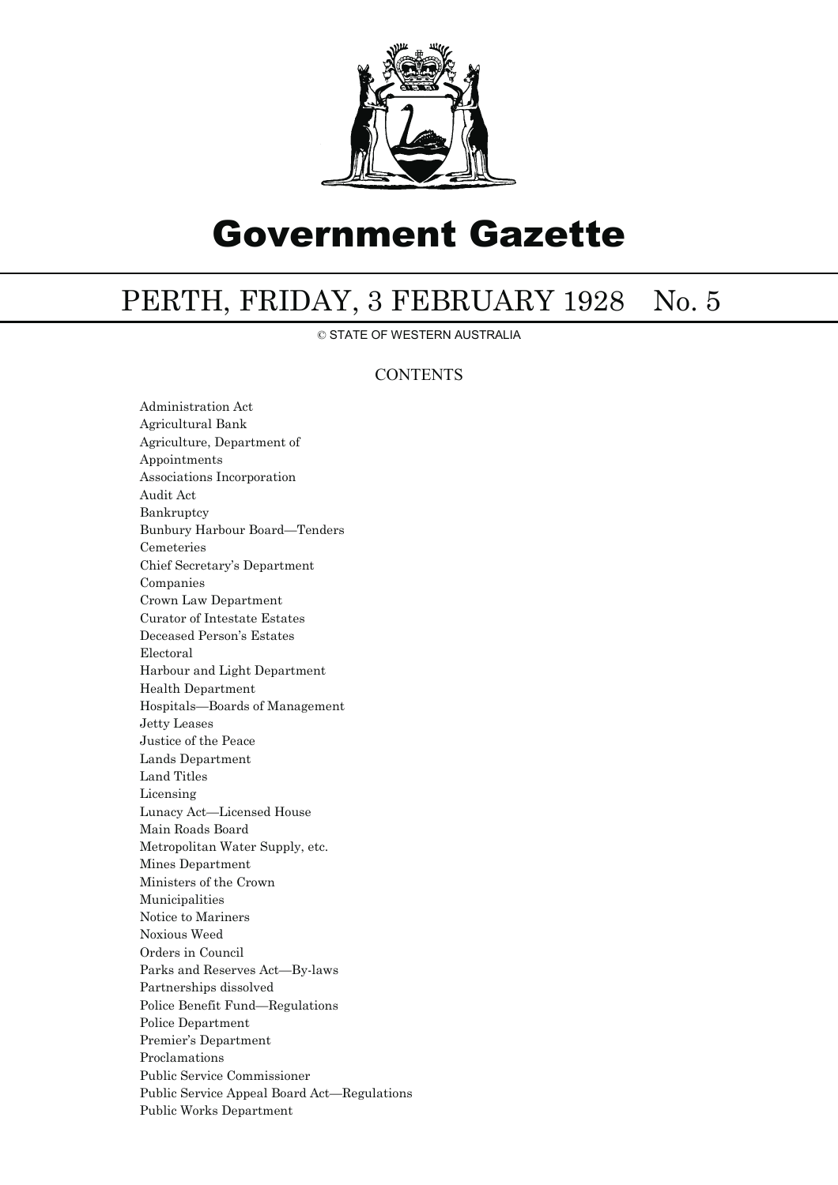

# Government Gazette

## PERTH, FRIDAY, 3 FEBRUARY 1928 No. 5

© STATE OF WESTERN AUSTRALIA

### **CONTENTS**

Administration Act Agricultural Bank Agriculture, Department of Appointments Associations Incorporation Audit Act Bankruptcy Bunbury Harbour Board—Tenders Cemeteries Chief Secretary's Department Companies Crown Law Department Curator of Intestate Estates Deceased Person's Estates Electoral Harbour and Light Department Health Department Hospitals—Boards of Management Jetty Leases Justice of the Peace Lands Department Land Titles Licensing Lunacy Act—Licensed House Main Roads Board Metropolitan Water Supply, etc. Mines Department Ministers of the Crown Municipalities Notice to Mariners Noxious Weed Orders in Council Parks and Reserves Act—By-laws Partnerships dissolved Police Benefit Fund—Regulations Police Department Premier's Department Proclamations Public Service Commissioner Public Service Appeal Board Act—Regulations Public Works Department